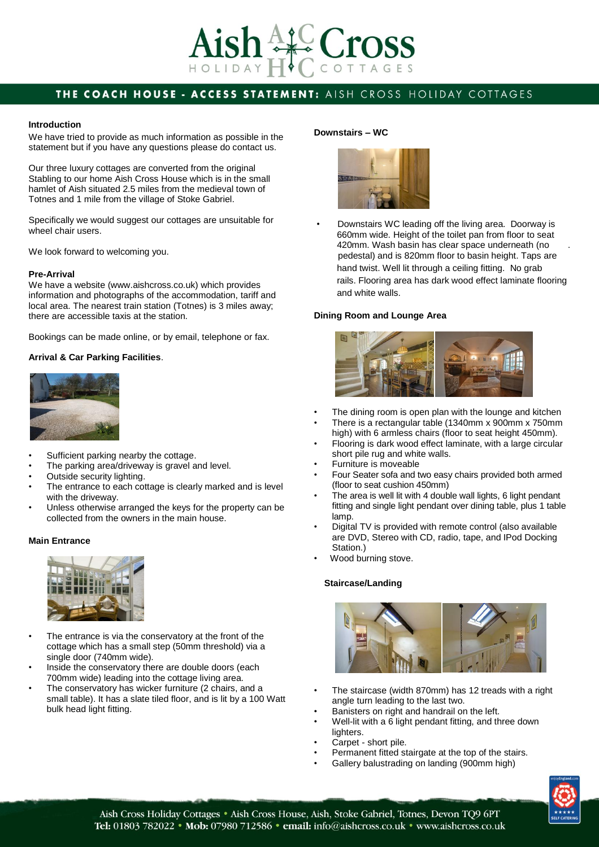

## THE COACH HOUSE - ACCESS STATEMENT: AISH CROSS HOLIDAY COTTAGES

#### **Introduction**

We have tried to provide as much information as possible in the statement but if you have any questions please do contact us.

Our three luxury cottages are converted from the original Stabling to our home Aish Cross House which is in the small hamlet of Aish situated 2.5 miles from the medieval town of Totnes and 1 mile from the village of Stoke Gabriel.

Specifically we would suggest our cottages are unsuitable for wheel chair users.

We look forward to welcoming you.

#### **Pre-Arrival**

We have a website (www.aishcross.co.uk) which provides information and photographs of the accommodation, tariff and local area. The nearest train station (Totnes) is 3 miles away; there are accessible taxis at the station.

Bookings can be made online, or by email, telephone or fax.

#### **Arrival & Car Parking Facilities**.



- Sufficient parking nearby the cottage.
- The parking area/driveway is gravel and level.
- Outside security lighting.
- The entrance to each cottage is clearly marked and is level with the driveway.
- Unless otherwise arranged the keys for the property can be collected from the owners in the main house.

#### **Main Entrance**



- The entrance is via the conservatory at the front of the cottage which has a small step (50mm threshold) via a single door (740mm wide).
- Inside the conservatory there are double doors (each 700mm wide) leading into the cottage living area.
- The conservatory has wicker furniture (2 chairs, and a small table). It has a slate tiled floor, and is lit by a 100 Watt bulk head light fitting.

#### **Downstairs – WC**



• Downstairs WC leading off the living area. Doorway is 660mm wide. Height of the toilet pan from floor to seat 420mm. Wash basin has clear space underneath (no . pedestal) and is 820mm floor to basin height. Taps are hand twist. Well lit through a ceiling fitting. No grab rails. Flooring area has dark wood effect laminate flooring and white walls.

#### **Dining Room and Lounge Area**



- The dining room is open plan with the lounge and kitchen
- There is a rectangular table (1340mm x 900mm x 750mm high) with 6 armless chairs (floor to seat height 450mm).
- Flooring is dark wood effect laminate, with a large circular short pile rug and white walls.
- Furniture is moveable
- Four Seater sofa and two easy chairs provided both armed (floor to seat cushion 450mm)
- The area is well lit with 4 double wall lights, 6 light pendant fitting and single light pendant over dining table, plus 1 table lamp.
- Digital TV is provided with remote control (also available are DVD, Stereo with CD, radio, tape, and IPod Docking Station.)
- Wood burning stove.

#### **Staircase/Landing**



- The staircase (width 870mm) has 12 treads with a right angle turn leading to the last two.
- Banisters on right and handrail on the left.
- Well-lit with a 6 light pendant fitting, and three down lighters.
- Carpet short pile.
- Permanent fitted stairgate at the top of the stairs.
- Gallery balustrading on landing (900mm high)

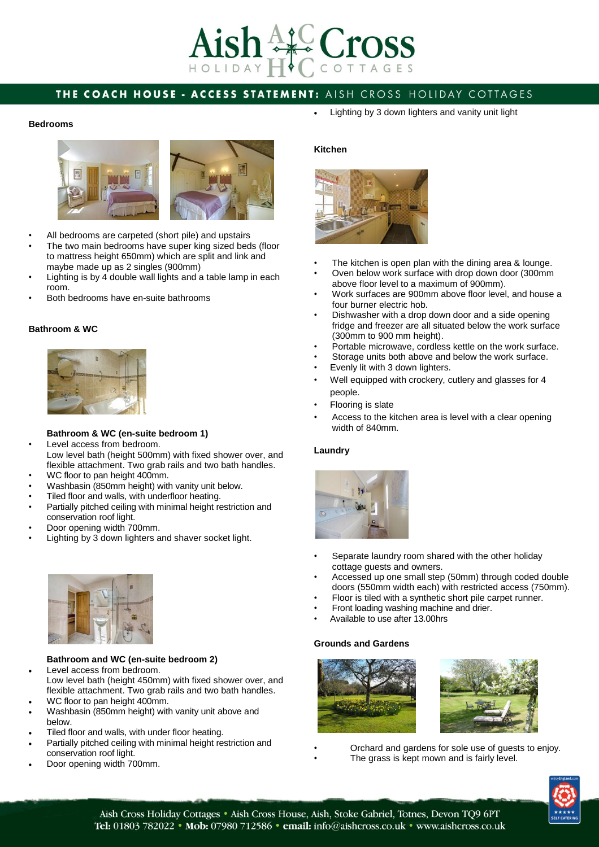# $4\sqrt{10}$  Cross HOLIDAY

# THE COACH HOUSE - ACCESS STATEMENT: AISH CROSS HOLIDAY COTTAGES

#### **Bedrooms**



- All bedrooms are carpeted (short pile) and upstairs
- The two main bedrooms have super king sized beds (floor to mattress height 650mm) which are split and link and maybe made up as 2 singles (900mm)
- Lighting is by 4 double wall lights and a table lamp in each room.
- Both bedrooms have en-suite bathrooms

#### **Bathroom & WC**



#### **Bathroom & WC (en-suite bedroom 1)**

- Level access from bedroom. Low level bath (height 500mm) with fixed shower over, and flexible attachment. Two grab rails and two bath handles.
- WC floor to pan height 400mm.
- Washbasin (850mm height) with vanity unit below.
- Tiled floor and walls, with underfloor heating.
- Partially pitched ceiling with minimal height restriction and conservation roof light.
- Door opening width 700mm.
- Lighting by 3 down lighters and shaver socket light.



### **Bathroom and WC (en-suite bedroom 2)**

- Level access from bedroom. Low level bath (height 450mm) with fixed shower over, and flexible attachment. Two grab rails and two bath handles.
- WC floor to pan height 400mm. Washbasin (850mm height) with vanity unit above and
- below.
- Tiled floor and walls, with under floor heating.
- Partially pitched ceiling with minimal height restriction and conservation roof light.
- Door opening width 700mm.

Lighting by 3 down lighters and vanity unit light

#### **Kitchen**



- The kitchen is open plan with the dining area & lounge.
- Oven below work surface with drop down door (300mm above floor level to a maximum of 900mm).
- Work surfaces are 900mm above floor level, and house a four burner electric hob.
- Dishwasher with a drop down door and a side opening fridge and freezer are all situated below the work surface (300mm to 900 mm height).
- Portable microwave, cordless kettle on the work surface.
- Storage units both above and below the work surface.
- Evenly lit with 3 down lighters.
- Well equipped with crockery, cutlery and glasses for 4 people.
- Flooring is slate
- Access to the kitchen area is level with a clear opening width of 840mm.

#### **Laundry**



- Separate laundry room shared with the other holiday cottage guests and owners.
- Accessed up one small step (50mm) through coded double doors (550mm width each) with restricted access (750mm).
- Floor is tiled with a synthetic short pile carpet runner.
- Front loading washing machine and drier.
- Available to use after 13.00hrs

#### **Grounds and Gardens**





- Orchard and gardens for sole use of guests to enjoy.
	- The grass is kept mown and is fairly level.